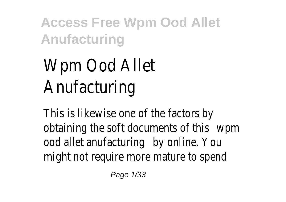# Wpm Ood Allet Anufacturing

This is likewise one of the factors by obtaining the soft documents of this wpm ood allet anufacturing by online. You might not require more mature to spend

Page 1/33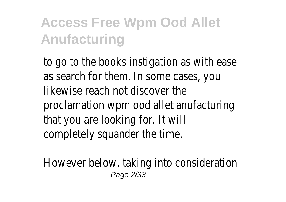to go to the books instigation as with ease as search for them. In some cases, you likewise reach not discover the proclamation wpm ood allet anufacturing that you are looking for. It will completely squander the time.

However below, taking into consideration Page 2/33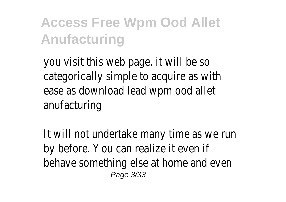you visit this web page, it will be so categorically simple to acquire as with ease as download lead wpm ood allet anufacturing

It will not undertake many time as we run by before. You can realize it even if behave something else at home and even Page 3/33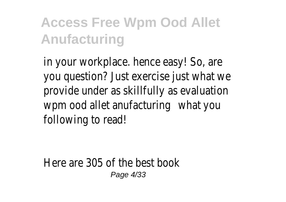in your workplace. hence easy! So, are you question? Just exercise just what we provide under as skillfully as evaluation wpm ood allet anufacturing what you following to read!

Here are 305 of the best book Page 4/33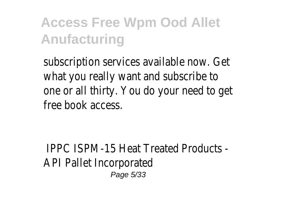subscription services available now. Get what you really want and subscribe to one or all thirty. You do your need to get free book access.

IPPC ISPM-15 Heat Treated Products - API Pallet Incorporated Page 5/33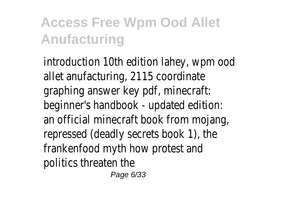introduction 10th edition lahey, wpm ood allet anufacturing, 2115 coordinate graphing answer key pdf, minecraft: beginner's handbook - updated edition: an official minecraft book from mojang, repressed (deadly secrets book 1), the frankenfood myth how protest and politics threaten the

Page 6/33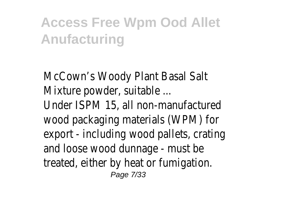McCown's Woody Plant Basal Salt Mixture powder, suitable ... Under ISPM 15, all non-manufactured wood packaging materials (WPM) for export - including wood pallets, crating and loose wood dunnage - must be treated, either by heat or fumigation. Page 7/33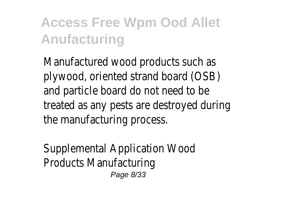Manufactured wood products such as plywood, oriented strand board (OSB) and particle board do not need to be treated as any pests are destroyed during the manufacturing process.

Supplemental Application Wood Products Manufacturing Page 8/33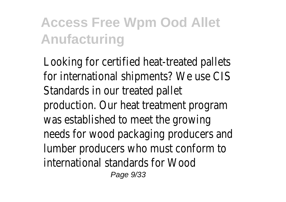Looking for certified heat-treated pallets for international shipments? We use CIS Standards in our treated pallet production. Our heat treatment program was established to meet the growing needs for wood packaging producers and lumber producers who must conform to international standards for Wood Page 9/33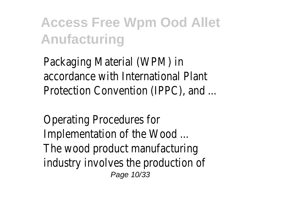Packaging Material (WPM) in accordance with International Plant Protection Convention (IPPC), and ...

Operating Procedures for Implementation of the Wood ... The wood product manufacturing industry involves the production of Page 10/33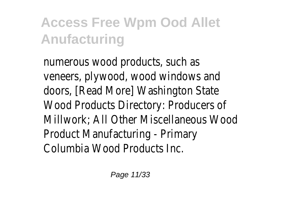numerous wood products, such as veneers, plywood, wood windows and doors, [Read More] Washington State Wood Products Directory: Producers of Millwork; All Other Miscellaneous Wood Product Manufacturing - Primary Columbia Wood Products Inc.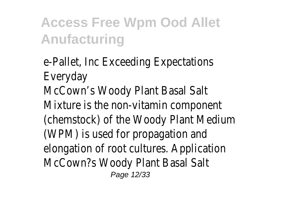e-Pallet, Inc Exceeding Expectations Everyday McCown's Woody Plant Basal Salt Mixture is the non-vitamin component (chemstock) of the Woody Plant Medium (WPM) is used for propagation and elongation of root cultures. Application McCown?s Woody Plant Basal Salt Page 12/33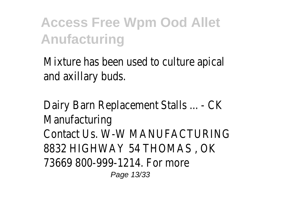Mixture has been used to culture apical and axillary buds.

Dairy Barn Replacement Stalls ... - CK Manufacturing Contact Us. W-W MANUFACTURING 8832 HIGHWAY 54 THOMAS , OK 73669 800-999-1214. For more Page 13/33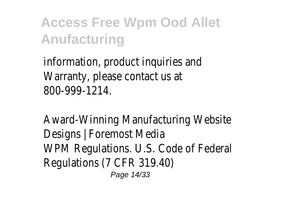information, product inquiries and Warranty, please contact us at 800-999-1214.

Award-Winning Manufacturing Website Designs | Foremost Media WPM Regulations. U.S. Code of Federal Regulations (7 CFR 319.40) Page 14/33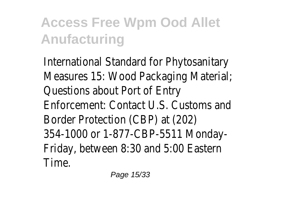International Standard for Phytosanitary Measures 15: Wood Packaging Material; Questions about Port of Entry Enforcement: Contact U.S. Customs and Border Protection (CBP) at (202) 354-1000 or 1-877-CBP-5511 Monday-Friday, between 8:30 and 5:00 Eastern Time.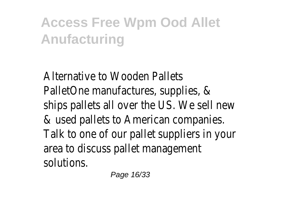Alternative to Wooden Pallets PalletOne manufactures, supplies, & ships pallets all over the US. We sell new & used pallets to American companies. Talk to one of our pallet suppliers in your area to discuss pallet management solutions.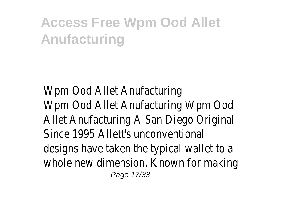Wpm Ood Allet Anufacturing Wpm Ood Allet Anufacturing Wpm Ood Allet Anufacturing A San Diego Original Since 1995 Allett's unconventional designs have taken the typical wallet to a whole new dimension. Known for making Page 17/33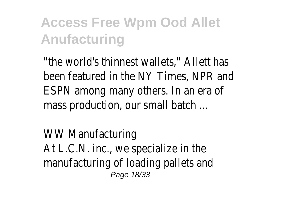"the world's thinnest wallets," Allett has been featured in the NY Times, NPR and ESPN among many others. In an era of mass production, our small batch ...

WW Manufacturing At L.C.N. inc., we specialize in the manufacturing of loading pallets and Page 18/33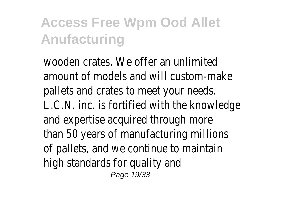wooden crates. We offer an unlimited amount of models and will custom-make pallets and crates to meet your needs. L.C.N. inc. is fortified with the knowledge and expertise acquired through more than 50 years of manufacturing millions of pallets, and we continue to maintain high standards for quality and Page 19/33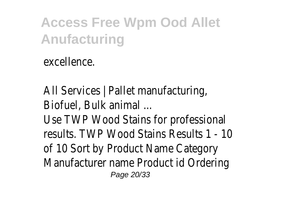excellence.

All Services | Pallet manufacturing, Biofuel, Bulk animal ... Use TWP Wood Stains for professional results. TWP Wood Stains Results 1 - 10 of 10 Sort by Product Name Category Manufacturer name Product id Ordering Page 20/33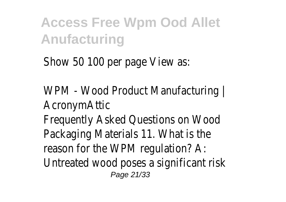Show 50 100 per page View as:

WPM - Wood Product Manufacturing | AcronymAttic Frequently Asked Questions on Wood Packaging Materials 11. What is the reason for the WPM regulation? A: Untreated wood poses a significant risk Page 21/33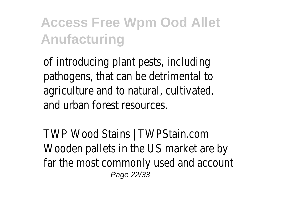of introducing plant pests, including pathogens, that can be detrimental to agriculture and to natural, cultivated, and urban forest resources.

TWP Wood Stains | TWPStain.com Wooden pallets in the US market are by far the most commonly used and account Page 22/33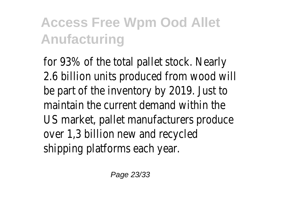for 93% of the total pallet stock. Nearly 2.6 billion units produced from wood will be part of the inventory by 2019. Just to maintain the current demand within the US market, pallet manufacturers produce over 1,3 billion new and recycled shipping platforms each year.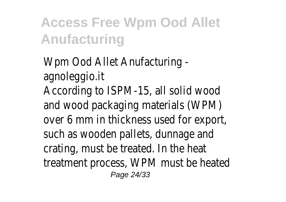Wpm Ood Allet Anufacturing agnoleggio.it According to ISPM-15, all solid wood and wood packaging materials (WPM) over 6 mm in thickness used for export, such as wooden pallets, dunnage and crating, must be treated. In the heat treatment process, WPM must be heated Page 24/33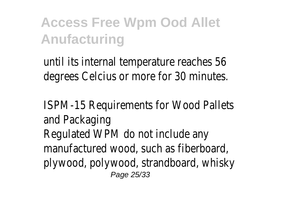until its internal temperature reaches 56 degrees Celcius or more for 30 minutes.

ISPM-15 Requirements for Wood Pallets and Packaging Regulated WPM do not include any manufactured wood, such as fiberboard, plywood, polywood, strandboard, whisky Page 25/33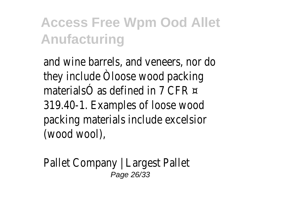and wine barrels, and veneers, nor do they include Òloose wood packing materialsÓ as defined in 7 CFR  $\approx$ 319.40-1. Examples of loose wood packing materials include excelsior (wood wool),

Pallet Company | Largest Pallet Page 26/33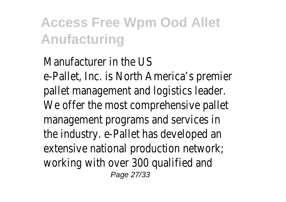#### Manufacturer in the US e-Pallet, Inc. is North America's premier pallet management and logistics leader. We offer the most comprehensive pallet management programs and services in the industry. e-Pallet has developed an extensive national production network; working with over 300 qualified and Page 27/33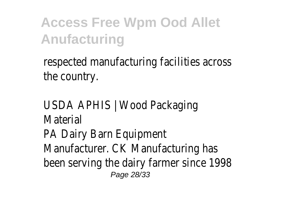respected manufacturing facilities across the country.

USDA APHIS | Wood Packaging **Material** PA Dairy Barn Equipment Manufacturer. CK Manufacturing has been serving the dairy farmer since 1998 Page 28/33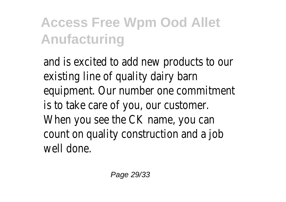and is excited to add new products to our existing line of quality dairy barn equipment. Our number one commitment is to take care of you, our customer. When you see the CK name, you can count on quality construction and a job well done.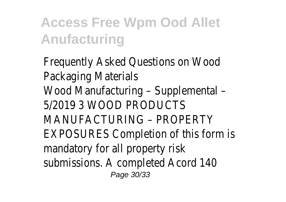Frequently Asked Questions on Wood Packaging Materials Wood Manufacturing – Supplemental – 5/2019 3 WOOD PRODUCTS MANUFACTURING – PROPERTY EXPOSURES Completion of this form is mandatory for all property risk submissions. A completed Acord 140 Page 30/33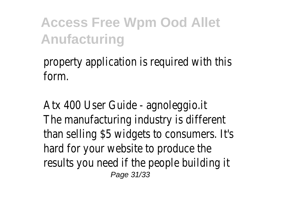#### property application is required with this form.

Atx 400 User Guide - agnoleggio.it The manufacturing industry is different than selling \$5 widgets to consumers. It's hard for your website to produce the results you need if the people building it Page 31/33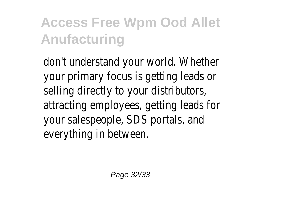don't understand your world. Whether your primary focus is getting leads or selling directly to your distributors, attracting employees, getting leads for your salespeople, SDS portals, and everything in between.